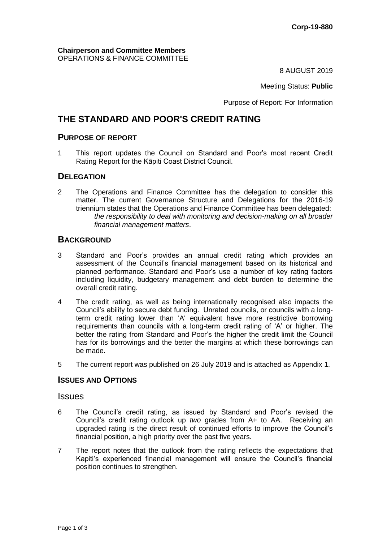8 AUGUST 2019

Meeting Status: **Public**

Purpose of Report: For Information

# **THE STANDARD AND POOR'S CREDIT RATING**

# **PURPOSE OF REPORT**

1 This report updates the Council on Standard and Poor's most recent Credit Rating Report for the Kāpiti Coast District Council.

## **DELEGATION**

2 The Operations and Finance Committee has the delegation to consider this matter. The current Governance Structure and Delegations for the 2016-19 triennium states that the Operations and Finance Committee has been delegated: *the responsibility to deal with monitoring and decision-making on all broader financial management matters*.

## **BACKGROUND**

- 3 Standard and Poor's provides an annual credit rating which provides an assessment of the Council's financial management based on its historical and planned performance. Standard and Poor's use a number of key rating factors including liquidity, budgetary management and debt burden to determine the overall credit rating.
- 4 The credit rating, as well as being internationally recognised also impacts the Council's ability to secure debt funding. Unrated councils, or councils with a longterm credit rating lower than 'A' equivalent have more restrictive borrowing requirements than councils with a long-term credit rating of 'A' or higher. The better the rating from Standard and Poor's the higher the credit limit the Council has for its borrowings and the better the margins at which these borrowings can be made.
- 5 The current report was published on 26 July 2019 and is attached as Appendix 1.

## **ISSUES AND OPTIONS**

### **Issues**

- 6 The Council's credit rating, as issued by Standard and Poor's revised the Council's credit rating outlook up *two* grades from A+ to AA. Receiving an upgraded rating is the direct result of continued efforts to improve the Council's financial position, a high priority over the past five years.
- 7 The report notes that the outlook from the rating reflects the expectations that Kapiti's experienced financial management will ensure the Council's financial position continues to strengthen.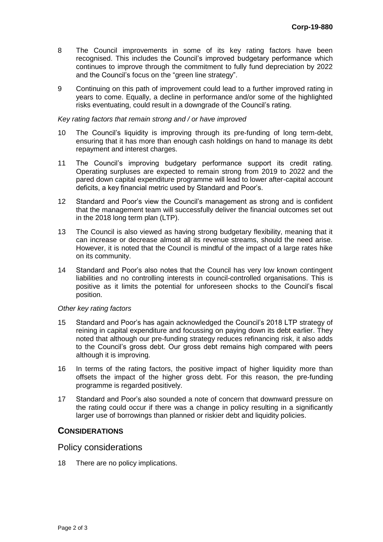- 8 The Council improvements in some of its key rating factors have been recognised. This includes the Council's improved budgetary performance which continues to improve through the commitment to fully fund depreciation by 2022 and the Council's focus on the "green line strategy".
- 9 Continuing on this path of improvement could lead to a further improved rating in years to come. Equally, a decline in performance and/or some of the highlighted risks eventuating, could result in a downgrade of the Council's rating.

#### *Key rating factors that remain strong and / or have improved*

- 10 The Council's liquidity is improving through its pre-funding of long term-debt, ensuring that it has more than enough cash holdings on hand to manage its debt repayment and interest charges.
- 11 The Council's improving budgetary performance support its credit rating. Operating surpluses are expected to remain strong from 2019 to 2022 and the pared down capital expenditure programme will lead to lower after-capital account deficits, a key financial metric used by Standard and Poor's.
- 12 Standard and Poor's view the Council's management as strong and is confident that the management team will successfully deliver the financial outcomes set out in the 2018 long term plan (LTP).
- 13 The Council is also viewed as having strong budgetary flexibility, meaning that it can increase or decrease almost all its revenue streams, should the need arise. However, it is noted that the Council is mindful of the impact of a large rates hike on its community.
- 14 Standard and Poor's also notes that the Council has very low known contingent liabilities and no controlling interests in council-controlled organisations. This is positive as it limits the potential for unforeseen shocks to the Council's fiscal position.

#### *Other key rating factors*

- 15 Standard and Poor's has again acknowledged the Council's 2018 LTP strategy of reining in capital expenditure and focussing on paying down its debt earlier. They noted that although our pre-funding strategy reduces refinancing risk, it also adds to the Council's gross debt. Our gross debt remains high compared with peers although it is improving.
- 16 In terms of the rating factors, the positive impact of higher liquidity more than offsets the impact of the higher gross debt. For this reason, the pre-funding programme is regarded positively.
- 17 Standard and Poor's also sounded a note of concern that downward pressure on the rating could occur if there was a change in policy resulting in a significantly larger use of borrowings than planned or riskier debt and liquidity policies.

#### **CONSIDERATIONS**

### Policy considerations

18 There are no policy implications.